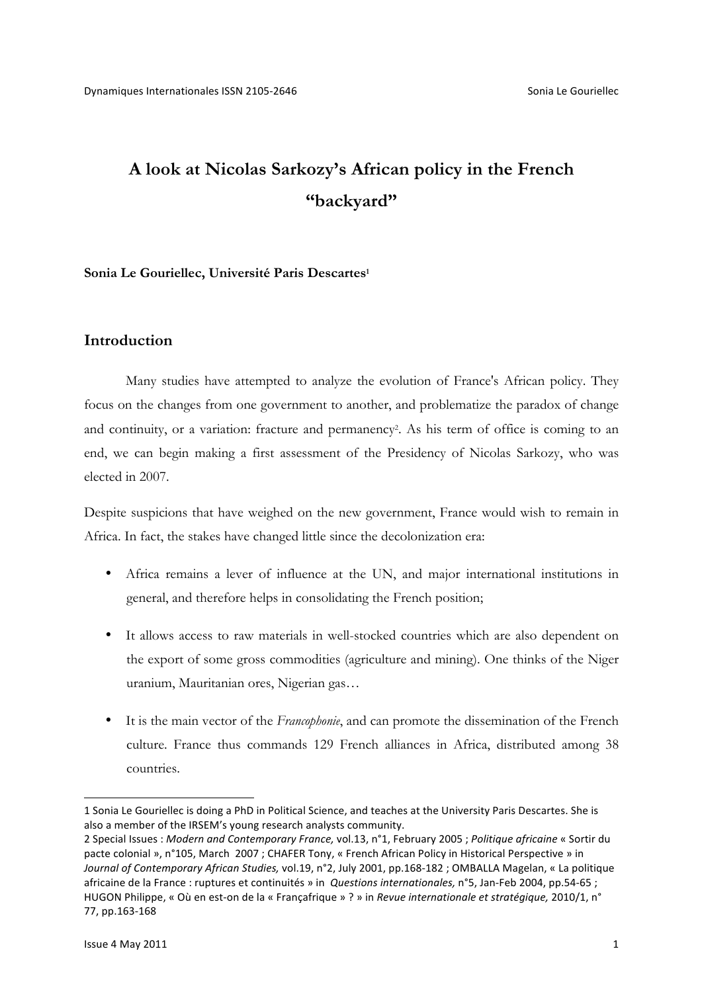# **A look at Nicolas Sarkozy's African policy in the French "backyard"**

### **Sonia Le Gouriellec, Université Paris Descartes1**

## **Introduction**

Many studies have attempted to analyze the evolution of France's African policy. They focus on the changes from one government to another, and problematize the paradox of change and continuity, or a variation: fracture and permanency<sup>2</sup>. As his term of office is coming to an end, we can begin making a first assessment of the Presidency of Nicolas Sarkozy, who was elected in 2007.

Despite suspicions that have weighed on the new government, France would wish to remain in Africa. In fact, the stakes have changed little since the decolonization era:

- Africa remains a lever of influence at the UN, and major international institutions in general, and therefore helps in consolidating the French position;
- It allows access to raw materials in well-stocked countries which are also dependent on the export of some gross commodities (agriculture and mining). One thinks of the Niger uranium, Mauritanian ores, Nigerian gas…
- It is the main vector of the *Francophonie*, and can promote the dissemination of the French culture. France thus commands 129 French alliances in Africa, distributed among 38 countries.

-

<sup>1</sup> Sonia Le Gouriellec is doing a PhD in Political Science, and teaches at the University Paris Descartes. She is also a member of the IRSEM's young research analysts community.

<sup>2</sup> Special Issues : Modern and Contemporary France, vol.13, n°1, February 2005 ; Politique africaine « Sortir du pacte colonial », n°105, March 2007 ; CHAFER Tony, « French African Policy in Historical Perspective » in Journal of Contemporary African Studies, vol.19, n°2, July 2001, pp.168-182 ; OMBALLA Magelan, « La politique africaine de la France : ruptures et continuités » in *Questions internationales*, n°5, Jan-Feb 2004, pp.54-65 ; HUGON Philippe, « Où en est-on de la « Françafrique » ? » in *Revue internationale et stratégique*, 2010/1, n° 77, pp.163-168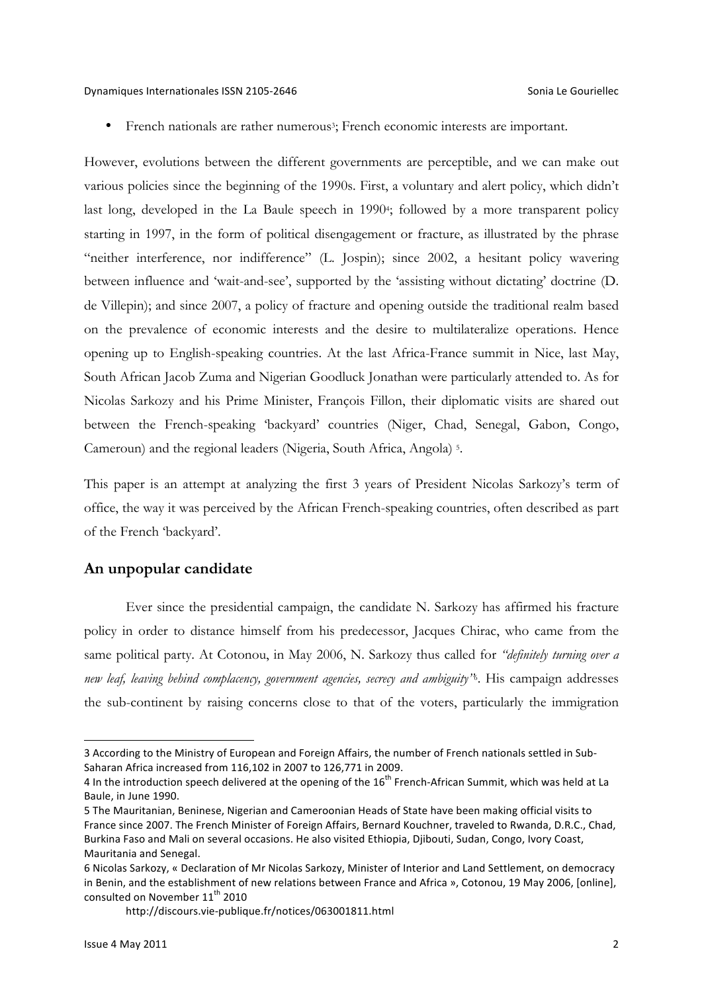French nationals are rather numerous<sup>3</sup>; French economic interests are important.

However, evolutions between the different governments are perceptible, and we can make out various policies since the beginning of the 1990s. First, a voluntary and alert policy, which didn't last long, developed in the La Baule speech in 1990<sup>4</sup>; followed by a more transparent policy starting in 1997, in the form of political disengagement or fracture, as illustrated by the phrase "neither interference, nor indifference" (L. Jospin); since 2002, a hesitant policy wavering between influence and 'wait-and-see', supported by the 'assisting without dictating' doctrine (D. de Villepin); and since 2007, a policy of fracture and opening outside the traditional realm based on the prevalence of economic interests and the desire to multilateralize operations. Hence opening up to English-speaking countries. At the last Africa-France summit in Nice, last May, South African Jacob Zuma and Nigerian Goodluck Jonathan were particularly attended to. As for Nicolas Sarkozy and his Prime Minister, François Fillon, their diplomatic visits are shared out between the French-speaking 'backyard' countries (Niger, Chad, Senegal, Gabon, Congo, Cameroun) and the regional leaders (Nigeria, South Africa, Angola) 5.

This paper is an attempt at analyzing the first 3 years of President Nicolas Sarkozy's term of office, the way it was perceived by the African French-speaking countries, often described as part of the French 'backyard'.

## **An unpopular candidate**

Ever since the presidential campaign, the candidate N. Sarkozy has affirmed his fracture policy in order to distance himself from his predecessor, Jacques Chirac, who came from the same political party. At Cotonou, in May 2006, N. Sarkozy thus called for *"definitely turning over a new leaf, leaving behind complacency, government agencies, secrecy and ambiguity"*6. His campaign addresses the sub-continent by raising concerns close to that of the voters, particularly the immigration

<sup>3</sup> According to the Ministry of European and Foreign Affairs, the number of French nationals settled in Sub-Saharan Africa increased from 116,102 in 2007 to 126,771 in 2009.

<sup>4</sup> In the introduction speech delivered at the opening of the  $16^{th}$  French-African Summit, which was held at La Baule, in June 1990.

<sup>5</sup> The Mauritanian, Beninese, Nigerian and Cameroonian Heads of State have been making official visits to France since 2007. The French Minister of Foreign Affairs, Bernard Kouchner, traveled to Rwanda, D.R.C., Chad, Burkina Faso and Mali on several occasions. He also visited Ethiopia, Djibouti, Sudan, Congo, Ivory Coast, Mauritania and Senegal.

<sup>6</sup> Nicolas Sarkozy, « Declaration of Mr Nicolas Sarkozy, Minister of Interior and Land Settlement, on democracy in Benin, and the establishment of new relations between France and Africa », Cotonou, 19 May 2006, [online], consulted on November  $11^{\text{th}}$  2010

http://discours.vie-publique.fr/notices/063001811.html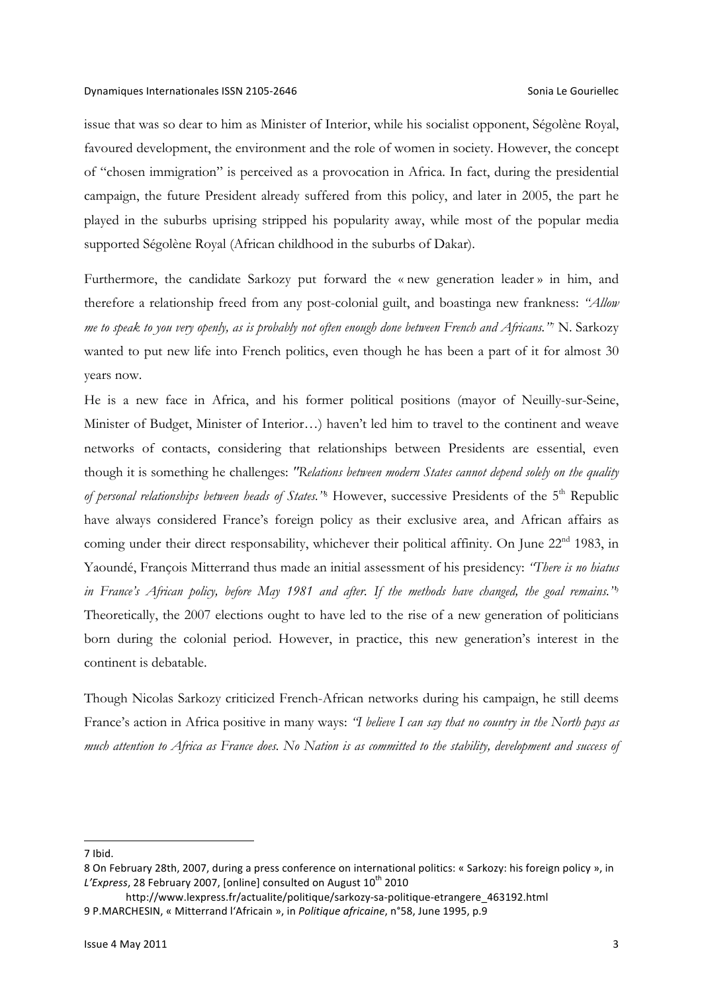issue that was so dear to him as Minister of Interior, while his socialist opponent, Ségolène Royal, favoured development, the environment and the role of women in society. However, the concept of "chosen immigration" is perceived as a provocation in Africa. In fact, during the presidential campaign, the future President already suffered from this policy, and later in 2005, the part he played in the suburbs uprising stripped his popularity away, while most of the popular media supported Ségolène Royal (African childhood in the suburbs of Dakar).

Furthermore, the candidate Sarkozy put forward the « new generation leader » in him, and therefore a relationship freed from any post-colonial guilt, and boastinga new frankness: *"Allow me to speak to you very openly, as is probably not often enough done between French and Africans."*<sup>7</sup> N. Sarkozy wanted to put new life into French politics, even though he has been a part of it for almost 30 years now.

He is a new face in Africa, and his former political positions (mayor of Neuilly-sur-Seine, Minister of Budget, Minister of Interior…) haven't led him to travel to the continent and weave networks of contacts, considering that relationships between Presidents are essential, even though it is something he challenges: *"Relations between modern States cannot depend solely on the quality of personal relationships between heads of States.*<sup>38</sup> However, successive Presidents of the 5<sup>th</sup> Republic have always considered France's foreign policy as their exclusive area, and African affairs as coming under their direct responsability, whichever their political affinity. On June 22<sup>nd</sup> 1983, in Yaoundé, François Mitterrand thus made an initial assessment of his presidency: *"There is no hiatus in France's African policy, before May 1981 and after. If the methods have changed, the goal remains."*<sup>9</sup> Theoretically, the 2007 elections ought to have led to the rise of a new generation of politicians born during the colonial period. However, in practice, this new generation's interest in the continent is debatable.

Though Nicolas Sarkozy criticized French-African networks during his campaign, he still deems France's action in Africa positive in many ways: *"I believe I can say that no country in the North pays as much attention to Africa as France does. No Nation is as committed to the stability, development and success of* 

<sup>7</sup> Ibid.

<sup>8</sup> On February 28th, 2007, during a press conference on international politics: « Sarkozy: his foreign policy », in L'Express, 28 February 2007, [online] consulted on August 10<sup>th</sup> 2010

http://www.lexpress.fr/actualite/politique/sarkozy-sa-politique-etrangere\_463192.html 9 P.MARCHESIN, « Mitterrand l'Africain », in *Politique africaine*, n°58, June 1995, p.9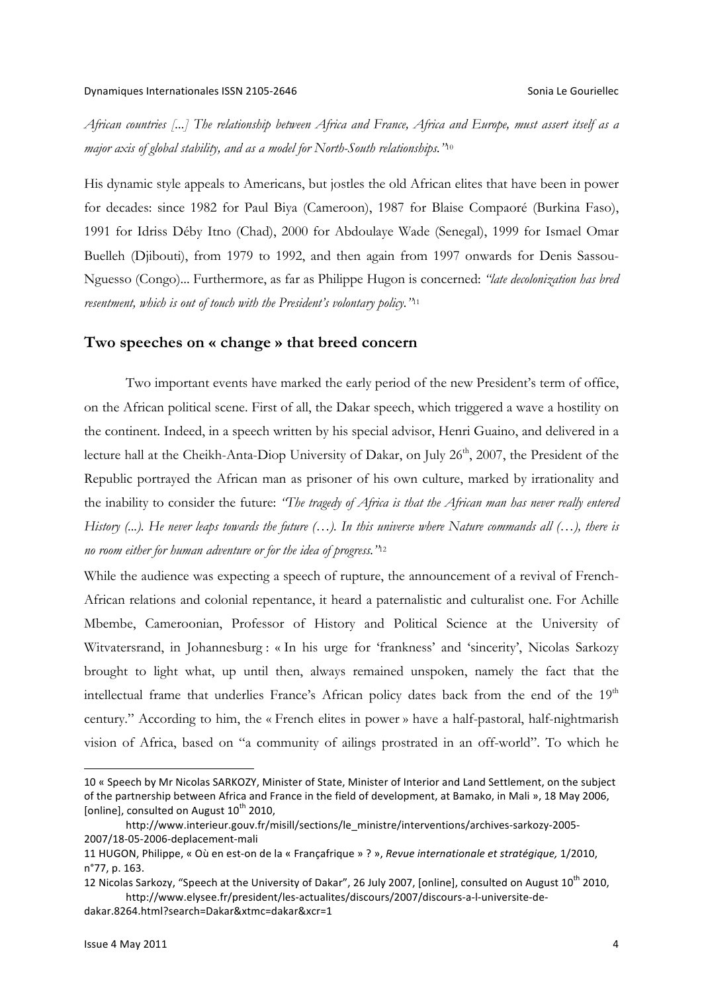*African countries [...] The relationship between Africa and France, Africa and Europe, must assert itself as a major axis of global stability, and as a model for North-South relationships."*<sup>10</sup>

His dynamic style appeals to Americans, but jostles the old African elites that have been in power for decades: since 1982 for Paul Biya (Cameroon), 1987 for Blaise Compaoré (Burkina Faso), 1991 for Idriss Déby Itno (Chad), 2000 for Abdoulaye Wade (Senegal), 1999 for Ismael Omar Buelleh (Djibouti), from 1979 to 1992, and then again from 1997 onwards for Denis Sassou-Nguesso (Congo)... Furthermore, as far as Philippe Hugon is concerned: *"late decolonization has bred resentment, which is out of touch with the President's volontary policy."*<sup>11</sup>

## **Two speeches on « change » that breed concern**

Two important events have marked the early period of the new President's term of office, on the African political scene. First of all, the Dakar speech, which triggered a wave a hostility on the continent. Indeed, in a speech written by his special advisor, Henri Guaino, and delivered in a lecture hall at the Cheikh-Anta-Diop University of Dakar, on July 26<sup>th</sup>, 2007, the President of the Republic portrayed the African man as prisoner of his own culture, marked by irrationality and the inability to consider the future: *"The tragedy of Africa is that the African man has never really entered History (...). He never leaps towards the future (…). In this universe where Nature commands all (…), there is no room either for human adventure or for the idea of progress."*<sup>12</sup>

While the audience was expecting a speech of rupture, the announcement of a revival of French-African relations and colonial repentance, it heard a paternalistic and culturalist one. For Achille Mbembe, Cameroonian, Professor of History and Political Science at the University of Witvatersrand, in Johannesburg : « In his urge for 'frankness' and 'sincerity', Nicolas Sarkozy brought to light what, up until then, always remained unspoken, namely the fact that the intellectual frame that underlies France's African policy dates back from the end of the  $19<sup>th</sup>$ century." According to him, the « French elites in power » have a half-pastoral, half-nightmarish vision of Africa, based on "a community of ailings prostrated in an off-world". To which he

dakar.8264.html?search=Dakar&xtmc=dakar&xcr=1

<sup>10 «</sup> Speech by Mr Nicolas SARKOZY, Minister of State, Minister of Interior and Land Settlement, on the subject of the partnership between Africa and France in the field of development, at Bamako, in Mali », 18 May 2006, [online], consulted on August  $10^{th}$  2010,

http://www.interieur.gouv.fr/misill/sections/le\_ministre/interventions/archives-sarkozy-2005- 2007/18-05-2006-deplacement-mali

<sup>11</sup> HUGON, Philippe, « Où en est-on de la « Françafrique » ? », Revue internationale et stratégique, 1/2010, n°77, p. 163.

<sup>12</sup> Nicolas Sarkozy, "Speech at the University of Dakar", 26 July 2007, [online], consulted on August 10<sup>th</sup> 2010, http://www.elysee.fr/president/les-actualites/discours/2007/discours-a-l-universite-de-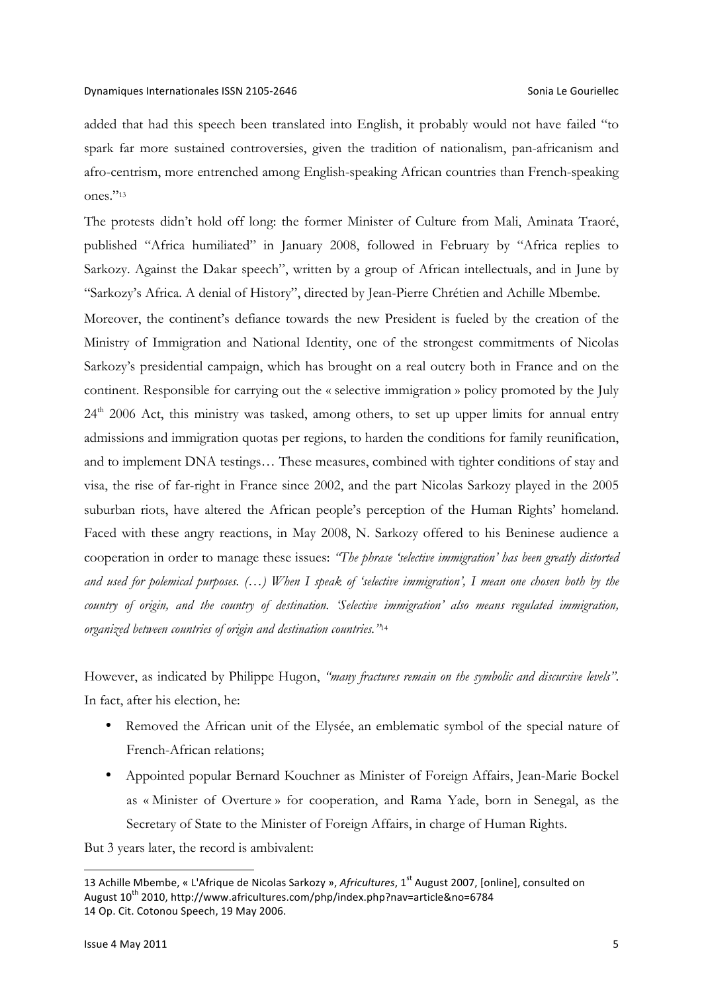added that had this speech been translated into English, it probably would not have failed "to spark far more sustained controversies, given the tradition of nationalism, pan-africanism and afro-centrism, more entrenched among English-speaking African countries than French-speaking ones."13

The protests didn't hold off long: the former Minister of Culture from Mali, Aminata Traoré, published "Africa humiliated" in January 2008, followed in February by "Africa replies to Sarkozy. Against the Dakar speech", written by a group of African intellectuals, and in June by "Sarkozy's Africa. A denial of History", directed by Jean-Pierre Chrétien and Achille Mbembe.

Moreover, the continent's defiance towards the new President is fueled by the creation of the Ministry of Immigration and National Identity, one of the strongest commitments of Nicolas Sarkozy's presidential campaign, which has brought on a real outcry both in France and on the continent. Responsible for carrying out the « selective immigration » policy promoted by the July  $24<sup>th</sup>$  2006 Act, this ministry was tasked, among others, to set up upper limits for annual entry admissions and immigration quotas per regions, to harden the conditions for family reunification, and to implement DNA testings… These measures, combined with tighter conditions of stay and visa, the rise of far-right in France since 2002, and the part Nicolas Sarkozy played in the 2005 suburban riots, have altered the African people's perception of the Human Rights' homeland. Faced with these angry reactions, in May 2008, N. Sarkozy offered to his Beninese audience a cooperation in order to manage these issues: *"The phrase 'selective immigration' has been greatly distorted and used for polemical purposes. (…) When I speak of 'selective immigration', I mean one chosen both by the country of origin, and the country of destination. 'Selective immigration' also means regulated immigration, organized between countries of origin and destination countries."*<sup>14</sup>

However, as indicated by Philippe Hugon, *"many fractures remain on the symbolic and discursive levels"*. In fact, after his election, he:

- Removed the African unit of the Elysée, an emblematic symbol of the special nature of French-African relations;
- Appointed popular Bernard Kouchner as Minister of Foreign Affairs, Jean-Marie Bockel as « Minister of Overture » for cooperation, and Rama Yade, born in Senegal, as the Secretary of State to the Minister of Foreign Affairs, in charge of Human Rights.

But 3 years later, the record is ambivalent:

<sup>13</sup> Achille Mbembe, « L'Afrique de Nicolas Sarkozy », *Africultures*, 1<sup>st</sup> August 2007, [online], consulted on August 10<sup>th</sup> 2010, http://www.africultures.com/php/index.php?nav=article&no=6784 14 Op. Cit. Cotonou Speech, 19 May 2006.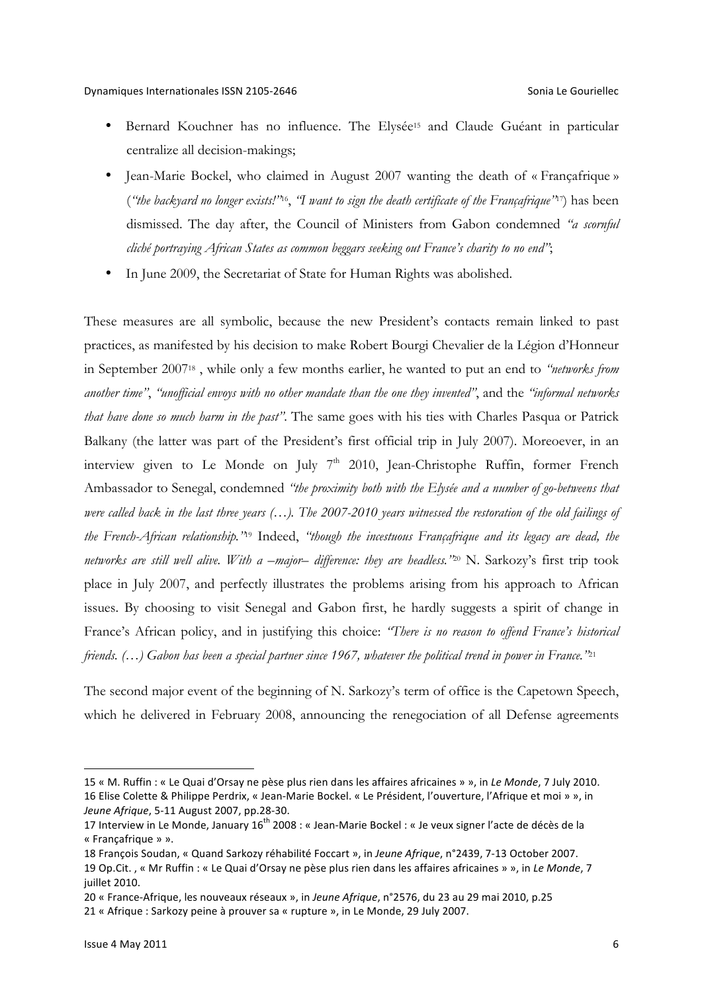- Bernard Kouchner has no influence. The Elysée<sup>15</sup> and Claude Guéant in particular centralize all decision-makings;
- Jean-Marie Bockel, who claimed in August 2007 wanting the death of « Francafrique » (*"the backyard no longer exists!"*16, *"I want to sign the death certificate of the Françafrique"*17) has been dismissed. The day after, the Council of Ministers from Gabon condemned *"a scornful cliché portraying African States as common beggars seeking out France's charity to no end"*;
- In June 2009, the Secretariat of State for Human Rights was abolished.

These measures are all symbolic, because the new President's contacts remain linked to past practices, as manifested by his decision to make Robert Bourgi Chevalier de la Légion d'Honneur in September 200718 , while only a few months earlier, he wanted to put an end to *"networks from another time"*, *"unofficial envoys with no other mandate than the one they invented"*, and the *"informal networks that have done so much harm in the past"*. The same goes with his ties with Charles Pasqua or Patrick Balkany (the latter was part of the President's first official trip in July 2007). Moreoever, in an interview given to Le Monde on July  $7<sup>th</sup>$  2010, Jean-Christophe Ruffin, former French Ambassador to Senegal, condemned *"the proximity both with the Elysée and a number of go-betweens that were called back in the last three years (…). The 2007-2010 years witnessed the restoration of the old failings of the French-African relationship."*<sup>19</sup> Indeed, *"though the incestuous Françafrique and its legacy are dead, the networks are still well alive. With a –major– difference: they are headless."*<sup>20</sup> N. Sarkozy's first trip took place in July 2007, and perfectly illustrates the problems arising from his approach to African issues. By choosing to visit Senegal and Gabon first, he hardly suggests a spirit of change in France's African policy, and in justifying this choice: *"There is no reason to offend France's historical friends. (…) Gabon has been a special partner since 1967, whatever the political trend in power in France."*<sup>21</sup>

The second major event of the beginning of N. Sarkozy's term of office is the Capetown Speech, which he delivered in February 2008, announcing the renegociation of all Defense agreements

<sup>15 «</sup> M. Ruffin : « Le Quai d'Orsay ne pèse plus rien dans les affaires africaines » », in *Le Monde*, 7 July 2010. 16 Elise Colette & Philippe Perdrix, « Jean-Marie Bockel. « Le Président, l'ouverture, l'Afrique et moi » », in *Jeune Afrique*, 5-11 August 2007, pp.28-30.

<sup>17</sup> Interview in Le Monde, January 16<sup>th</sup> 2008 : « Jean-Marie Bockel : « Je veux signer l'acte de décès de la « Françafrique » ».

<sup>18</sup> François Soudan, « Quand Sarkozy réhabilité Foccart », in Jeune Afrique, n°2439, 7-13 October 2007. 19 Op.Cit., « Mr Ruffin : « Le Quai d'Orsay ne pèse plus rien dans les affaires africaines » », in Le Monde, 7 juillet 2010.

<sup>20 «</sup> France-Afrique, les nouveaux réseaux », in *Jeune Afrique*, n°2576, du 23 au 29 mai 2010, p.25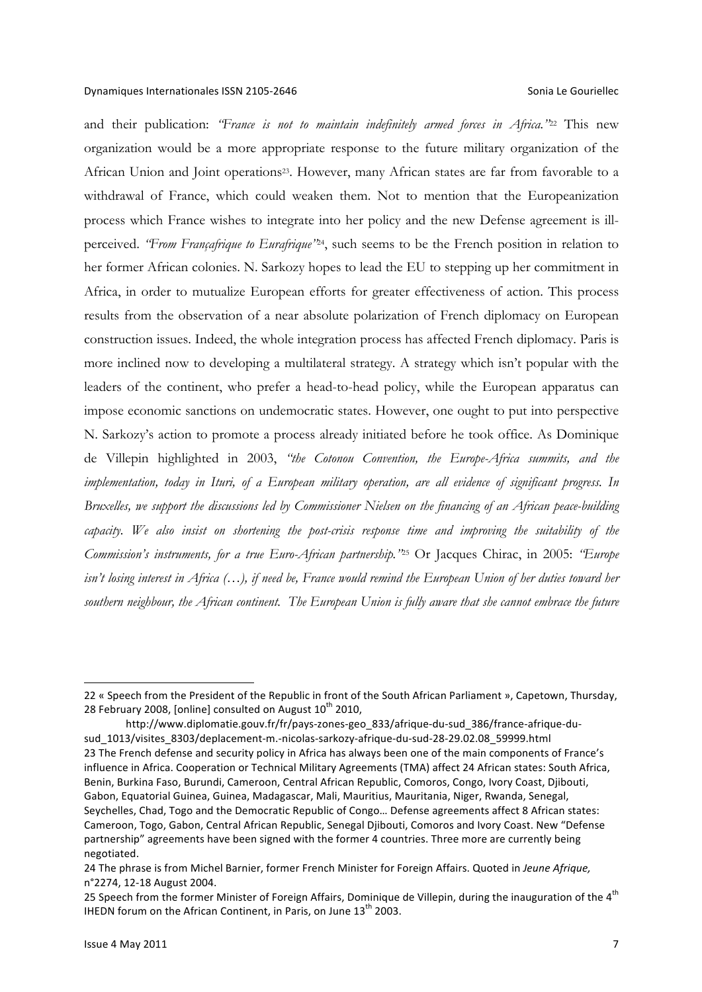and their publication: *"France is not to maintain indefinitely armed forces in Africa."*<sup>22</sup> This new organization would be a more appropriate response to the future military organization of the African Union and Joint operations<sup>23</sup>. However, many African states are far from favorable to a withdrawal of France, which could weaken them. Not to mention that the Europeanization process which France wishes to integrate into her policy and the new Defense agreement is illperceived. *"From Françafrique to Eurafrique"*24, such seems to be the French position in relation to her former African colonies. N. Sarkozy hopes to lead the EU to stepping up her commitment in Africa, in order to mutualize European efforts for greater effectiveness of action. This process results from the observation of a near absolute polarization of French diplomacy on European construction issues. Indeed, the whole integration process has affected French diplomacy. Paris is more inclined now to developing a multilateral strategy. A strategy which isn't popular with the leaders of the continent, who prefer a head-to-head policy, while the European apparatus can impose economic sanctions on undemocratic states. However, one ought to put into perspective N. Sarkozy's action to promote a process already initiated before he took office. As Dominique de Villepin highlighted in 2003, *"the Cotonou Convention, the Europe-Africa summits, and the implementation, today in Ituri, of a European military operation, are all evidence of significant progress. In Bruxelles, we support the discussions led by Commissioner Nielsen on the financing of an African peace-building capacity. We also insist on shortening the post-crisis response time and improving the suitability of the Commission's instruments, for a true Euro-African partnership."*<sup>25</sup> Or Jacques Chirac, in 2005: *"Europe isn't losing interest in Africa (…), if need be, France would remind the European Union of her duties toward her southern neighbour, the African continent. The European Union is fully aware that she cannot embrace the future* 

<sup>22 «</sup> Speech from the President of the Republic in front of the South African Parliament », Capetown, Thursday, 28 February 2008, [online] consulted on August  $10^{th}$  2010,

http://www.diplomatie.gouv.fr/fr/pays-zones-geo\_833/afrique-du-sud\_386/france-afrique-dusud\_1013/visites\_8303/deplacement-m.-nicolas-sarkozy-afrique-du-sud-28-29.02.08\_59999.html 23 The French defense and security policy in Africa has always been one of the main components of France's influence in Africa. Cooperation or Technical Military Agreements (TMA) affect 24 African states: South Africa, Benin, Burkina Faso, Burundi, Cameroon, Central African Republic, Comoros, Congo, Ivory Coast, Djibouti, Gabon, Equatorial Guinea, Guinea, Madagascar, Mali, Mauritius, Mauritania, Niger, Rwanda, Senegal, Seychelles, Chad, Togo and the Democratic Republic of Congo... Defense agreements affect 8 African states: Cameroon, Togo, Gabon, Central African Republic, Senegal Djibouti, Comoros and Ivory Coast. New "Defense partnership" agreements have been signed with the former 4 countries. Three more are currently being negotiated. 

<sup>24</sup> The phrase is from Michel Barnier, former French Minister for Foreign Affairs. Quoted in Jeune Afrique, n°2274, 12-18 August 2004.

<sup>25</sup> Speech from the former Minister of Foreign Affairs, Dominique de Villepin, during the inauguration of the 4<sup>th</sup> IHEDN forum on the African Continent, in Paris, on June  $13<sup>th</sup>$  2003.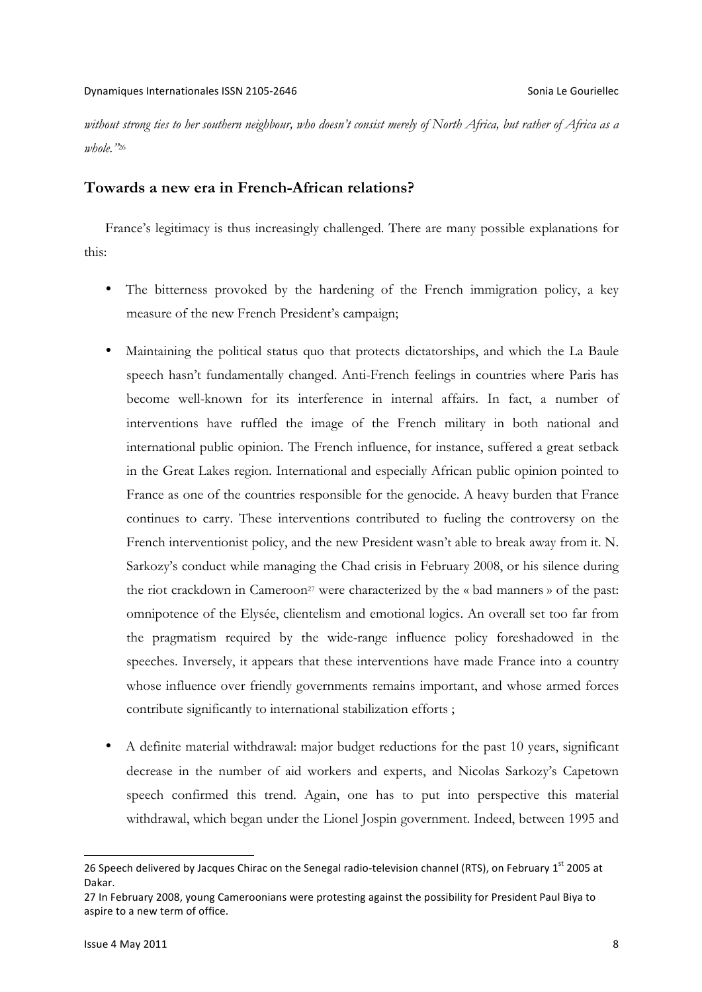*without strong ties to her southern neighbour, who doesn't consist merely of North Africa, but rather of Africa as a whole."*<sup>26</sup>

## **Towards a new era in French-African relations?**

France's legitimacy is thus increasingly challenged. There are many possible explanations for this:

- The bitterness provoked by the hardening of the French immigration policy, a key measure of the new French President's campaign;
- Maintaining the political status quo that protects dictatorships, and which the La Baule speech hasn't fundamentally changed. Anti-French feelings in countries where Paris has become well-known for its interference in internal affairs. In fact, a number of interventions have ruffled the image of the French military in both national and international public opinion. The French influence, for instance, suffered a great setback in the Great Lakes region. International and especially African public opinion pointed to France as one of the countries responsible for the genocide. A heavy burden that France continues to carry. These interventions contributed to fueling the controversy on the French interventionist policy, and the new President wasn't able to break away from it. N. Sarkozy's conduct while managing the Chad crisis in February 2008, or his silence during the riot crackdown in Cameroon<sup>27</sup> were characterized by the « bad manners » of the past: omnipotence of the Elysée, clientelism and emotional logics. An overall set too far from the pragmatism required by the wide-range influence policy foreshadowed in the speeches. Inversely, it appears that these interventions have made France into a country whose influence over friendly governments remains important, and whose armed forces contribute significantly to international stabilization efforts ;
- A definite material withdrawal: major budget reductions for the past 10 years, significant decrease in the number of aid workers and experts, and Nicolas Sarkozy's Capetown speech confirmed this trend. Again, one has to put into perspective this material withdrawal, which began under the Lionel Jospin government. Indeed, between 1995 and

-

<sup>26</sup> Speech delivered by Jacques Chirac on the Senegal radio-television channel (RTS), on February 1<sup>st</sup> 2005 at Dakar. 

<sup>27</sup> In February 2008, young Cameroonians were protesting against the possibility for President Paul Biya to aspire to a new term of office.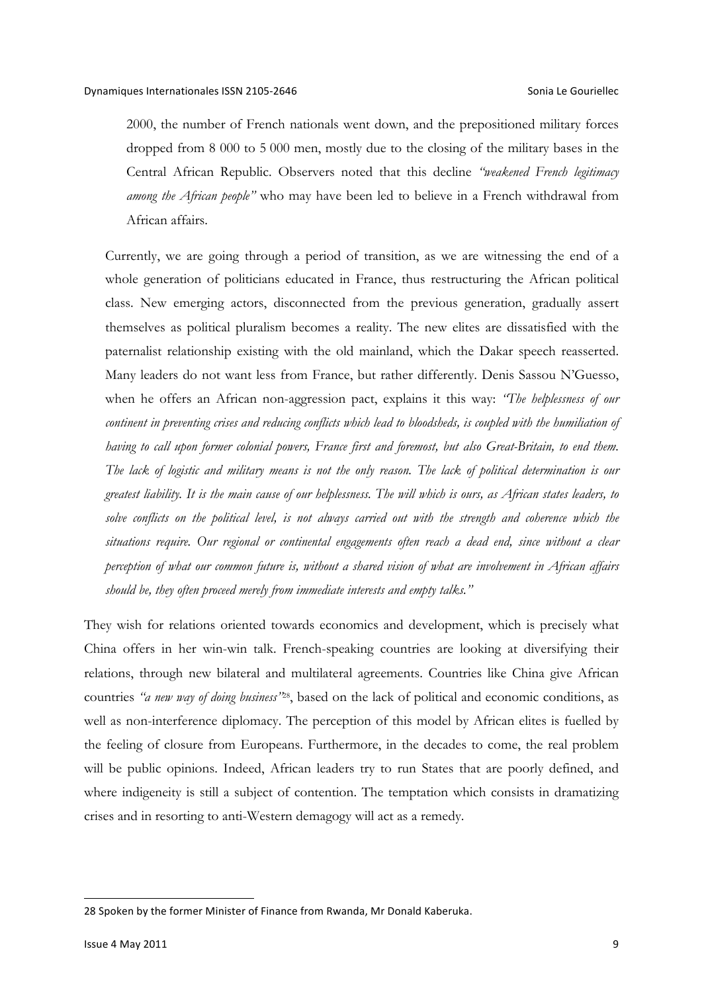2000, the number of French nationals went down, and the prepositioned military forces dropped from 8 000 to 5 000 men, mostly due to the closing of the military bases in the Central African Republic. Observers noted that this decline *"weakened French legitimacy among the African people"* who may have been led to believe in a French withdrawal from African affairs.

Currently, we are going through a period of transition, as we are witnessing the end of a whole generation of politicians educated in France, thus restructuring the African political class. New emerging actors, disconnected from the previous generation, gradually assert themselves as political pluralism becomes a reality. The new elites are dissatisfied with the paternalist relationship existing with the old mainland, which the Dakar speech reasserted. Many leaders do not want less from France, but rather differently. Denis Sassou N'Guesso, when he offers an African non-aggression pact, explains it this way: *"The helplessness of our continent in preventing crises and reducing conflicts which lead to bloodsheds, is coupled with the humiliation of having to call upon former colonial powers, France first and foremost, but also Great-Britain, to end them. The lack of logistic and military means is not the only reason. The lack of political determination is our greatest liability. It is the main cause of our helplessness. The will which is ours, as African states leaders, to*  solve conflicts on the political level, is not always carried out with the strength and coherence which the *situations require. Our regional or continental engagements often reach a dead end, since without a clear perception of what our common future is, without a shared vision of what are involvement in African affairs should be, they often proceed merely from immediate interests and empty talks."*

They wish for relations oriented towards economics and development, which is precisely what China offers in her win-win talk. French-speaking countries are looking at diversifying their relations, through new bilateral and multilateral agreements. Countries like China give African countries *"a new way of doing business"*28, based on the lack of political and economic conditions, as well as non-interference diplomacy. The perception of this model by African elites is fuelled by the feeling of closure from Europeans. Furthermore, in the decades to come, the real problem will be public opinions. Indeed, African leaders try to run States that are poorly defined, and where indigeneity is still a subject of contention. The temptation which consists in dramatizing crises and in resorting to anti-Western demagogy will act as a remedy.

-

<sup>28</sup> Spoken by the former Minister of Finance from Rwanda, Mr Donald Kaberuka.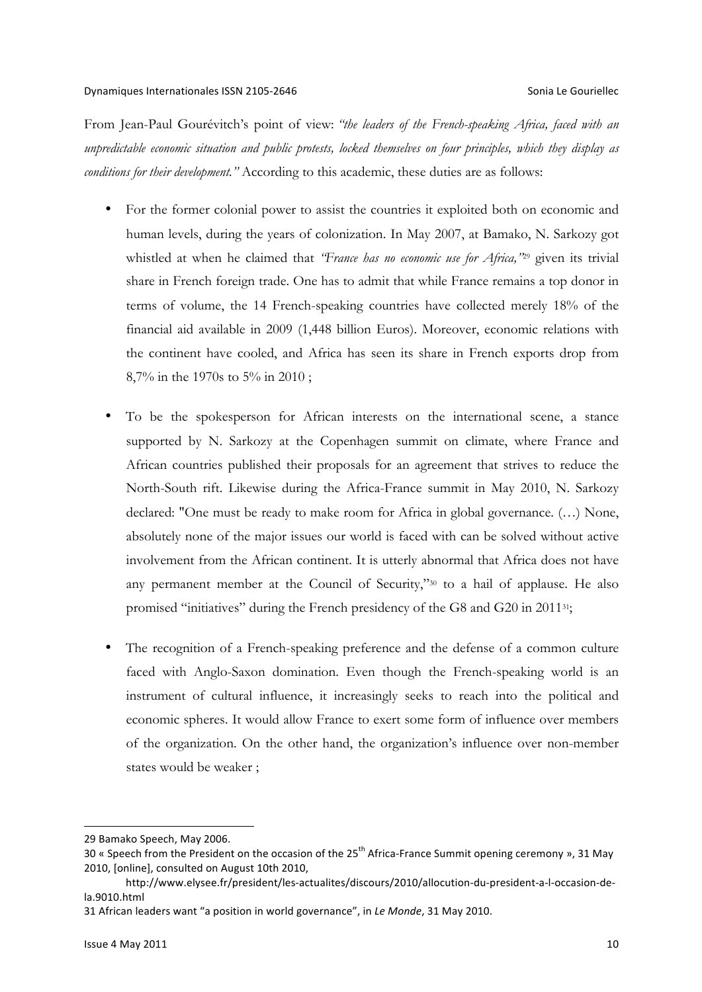From Jean-Paul Gourévitch's point of view: *"the leaders of the French-speaking Africa, faced with an unpredictable economic situation and public protests, locked themselves on four principles, which they display as conditions for their development."* According to this academic, these duties are as follows:

- For the former colonial power to assist the countries it exploited both on economic and human levels, during the years of colonization. In May 2007, at Bamako, N. Sarkozy got whistled at when he claimed that *"France has no economic use for Africa,"*<sup>29</sup> given its trivial share in French foreign trade. One has to admit that while France remains a top donor in terms of volume, the 14 French-speaking countries have collected merely 18% of the financial aid available in 2009 (1,448 billion Euros). Moreover, economic relations with the continent have cooled, and Africa has seen its share in French exports drop from 8,7% in the 1970s to 5% in 2010 ;
- To be the spokesperson for African interests on the international scene, a stance supported by N. Sarkozy at the Copenhagen summit on climate, where France and African countries published their proposals for an agreement that strives to reduce the North-South rift. Likewise during the Africa-France summit in May 2010, N. Sarkozy declared: "One must be ready to make room for Africa in global governance. (…) None, absolutely none of the major issues our world is faced with can be solved without active involvement from the African continent. It is utterly abnormal that Africa does not have any permanent member at the Council of Security,"30 to a hail of applause. He also promised "initiatives" during the French presidency of the G8 and G20 in 201131;
- The recognition of a French-speaking preference and the defense of a common culture faced with Anglo-Saxon domination. Even though the French-speaking world is an instrument of cultural influence, it increasingly seeks to reach into the political and economic spheres. It would allow France to exert some form of influence over members of the organization. On the other hand, the organization's influence over non-member states would be weaker ;

<sup>29</sup> Bamako Speech, May 2006.

<sup>30 «</sup> Speech from the President on the occasion of the  $25<sup>th</sup>$  Africa-France Summit opening ceremony », 31 May 2010, [online], consulted on August 10th 2010,

http://www.elysee.fr/president/les-actualites/discours/2010/allocution-du-president-a-l-occasion-dela.9010.html

<sup>31</sup> African leaders want "a position in world governance", in Le Monde, 31 May 2010.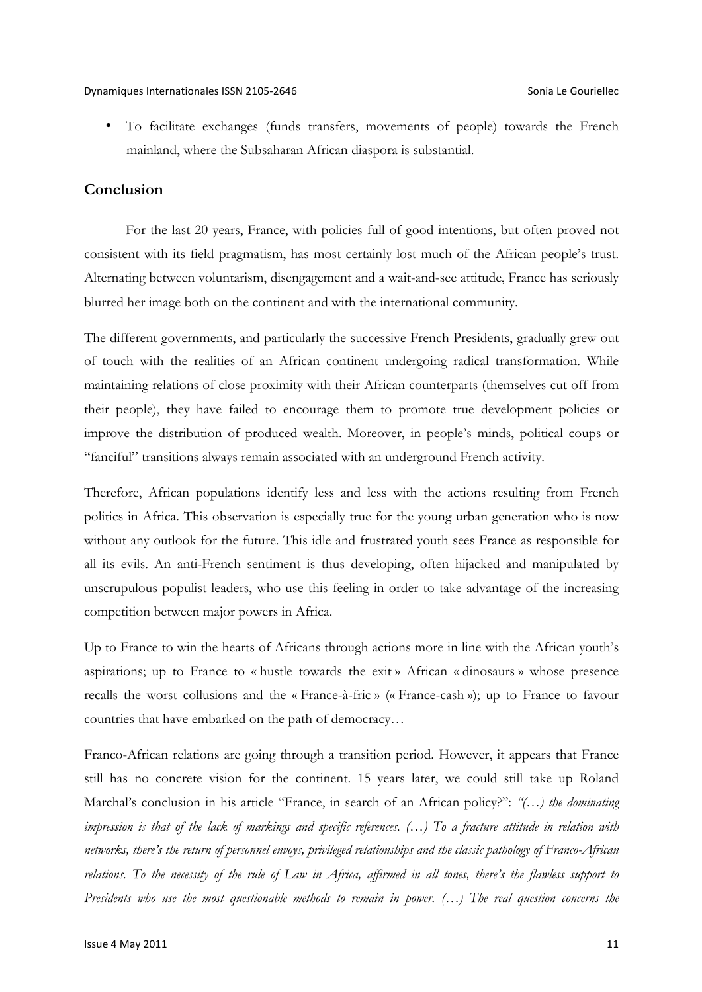• To facilitate exchanges (funds transfers, movements of people) towards the French mainland, where the Subsaharan African diaspora is substantial.

## **Conclusion**

For the last 20 years, France, with policies full of good intentions, but often proved not consistent with its field pragmatism, has most certainly lost much of the African people's trust. Alternating between voluntarism, disengagement and a wait-and-see attitude, France has seriously blurred her image both on the continent and with the international community.

The different governments, and particularly the successive French Presidents, gradually grew out of touch with the realities of an African continent undergoing radical transformation. While maintaining relations of close proximity with their African counterparts (themselves cut off from their people), they have failed to encourage them to promote true development policies or improve the distribution of produced wealth. Moreover, in people's minds, political coups or "fanciful" transitions always remain associated with an underground French activity.

Therefore, African populations identify less and less with the actions resulting from French politics in Africa. This observation is especially true for the young urban generation who is now without any outlook for the future. This idle and frustrated youth sees France as responsible for all its evils. An anti-French sentiment is thus developing, often hijacked and manipulated by unscrupulous populist leaders, who use this feeling in order to take advantage of the increasing competition between major powers in Africa.

Up to France to win the hearts of Africans through actions more in line with the African youth's aspirations; up to France to « hustle towards the exit » African « dinosaurs » whose presence recalls the worst collusions and the « France-à-fric » (« France-cash »); up to France to favour countries that have embarked on the path of democracy…

Franco-African relations are going through a transition period. However, it appears that France still has no concrete vision for the continent. 15 years later, we could still take up Roland Marchal's conclusion in his article "France, in search of an African policy?": *"(…) the dominating impression is that of the lack of markings and specific references. (…) To a fracture attitude in relation with networks, there's the return of personnel envoys, privileged relationships and the classic pathology of Franco-African*  relations. To the necessity of the rule of Law in Africa, affirmed in all tones, there's the flawless support to *Presidents who use the most questionable methods to remain in power. (…) The real question concerns the*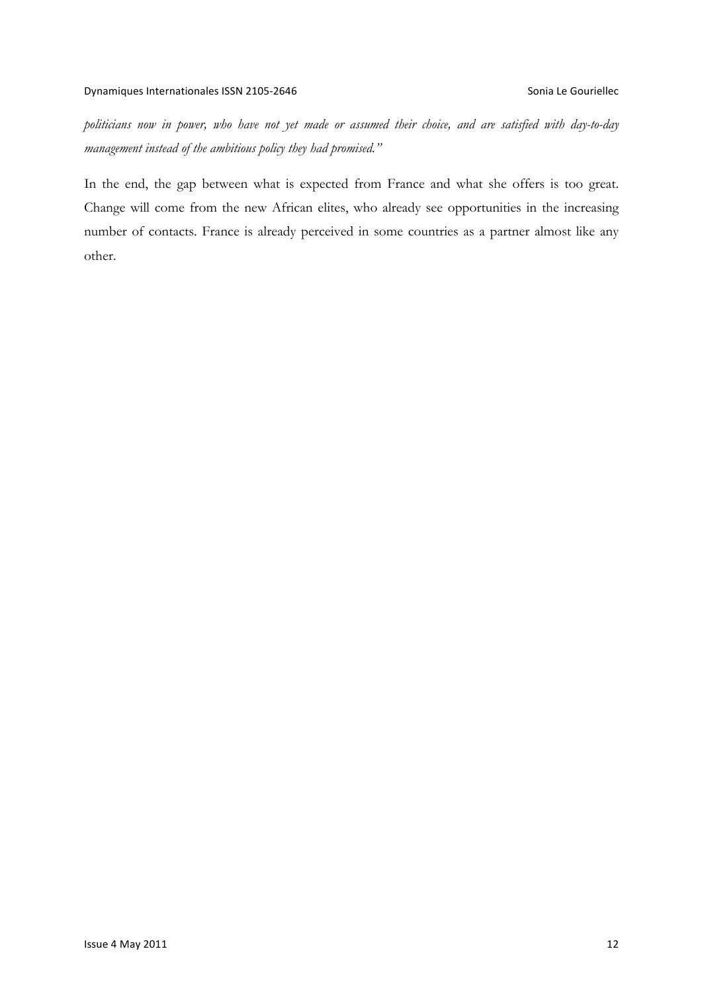*politicians now in power, who have not yet made or assumed their choice, and are satisfied with day-to-day management instead of the ambitious policy they had promised."*

In the end, the gap between what is expected from France and what she offers is too great. Change will come from the new African elites, who already see opportunities in the increasing number of contacts. France is already perceived in some countries as a partner almost like any other.